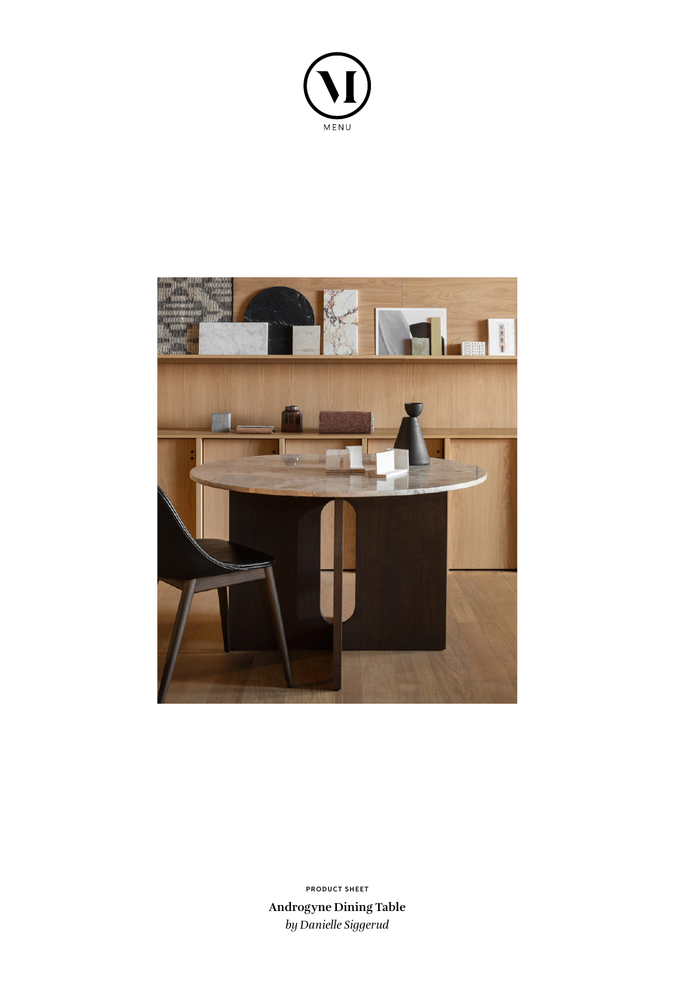



**Androgyne Dining Table** *by Danielle Siggerud* **PRODUCT SHEET**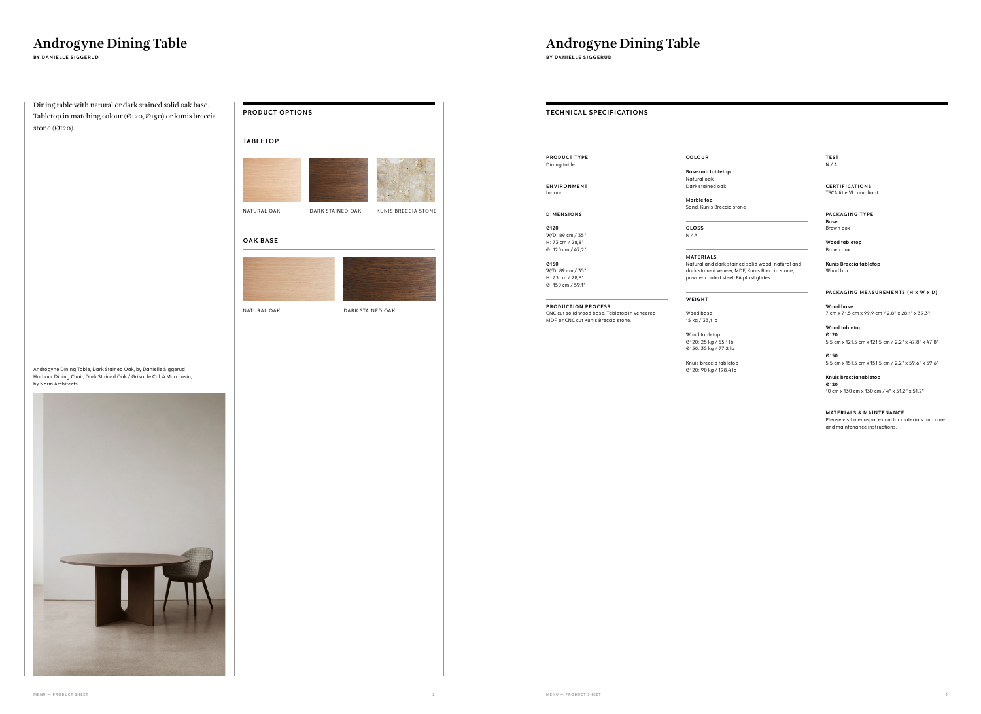# NATURAL OAK DARK STAINED OAK KUNIS BRECCIA STONE

# **Androgyne Dining Table**

**BY DANIELLE SIGGERUD**

# **Androgyne Dining Table BY DANIELLE SIGGERUD**

# **TECHNICAL SPECIFICATIONS**

# **PRODUCT OPTIONS**

Dining table with natural or dark stained solid oak base. Tabletop in matching colour (Ø120, Ø150) or kunis breccia stone (Ø120).

Androgyne Dining Table, Dark Stained Oak, by Danielle Siggerud Harbour Dining Chair, Dark Stained Oak / Grisaille Col. 4 Marccasin,



by Norm Architects

**PRODUCT TYPE** Dining table

**ENVIRONMENT** Indoor

**D I M E N S I O N S** 

**Ø120** W/D: 89 cm / 35" H: 73 cm / 28,8" Ø: 120 cm / 47,2"

**Ø150** W/D: 89 cm / 35" H: 73 cm / 28,8" Ø: 150 cm / 59,1"

**PRODUCTION PROCESS** CNC cut solid wood base. Tabletop in veneered MDF, or CNC cut Kunis Breccia stone.

# **COLOUR**

**Base and tabletop** Natural oak

Dark stained oak

**Marble top**

Sand, Kunis Breccia stone

**G LO S S** 

N / A

**M AT E R I A LS**

Natural and dark stained solid wood, natural and dark stained veneer, MDF, Kunis Breccia stone, powder coated steel, PA plast glides.

**WEIGHT**

# Wood base

15 kg / 33,1 lb

Wood tabletop Ø120: 25 kg / 55,1 lb Ø150: 35 kg / 77,2 lb

Knuis breccia tabletop Ø120: 90 kg / 198,4 lb **TEST** N / A

# **C E RT I F I CAT I O N S** TSCA title VI compliant

# **PACKAGING TYPE Base**

Brown box

**Wood tabletop** Brown box

# **Kunis Breccia tabletop** Wood box

# **PACKAGING MEASUREMENTS (H x W x D)**

**Wood base** 7 cm x 71,5 cm x 99,9 cm / 2,8" x 28,1" x 39,3"

**Wood tabletop Ø120** 5,5 cm x 121,5 cm x 121,5 cm / 2,2" x 47,8" x 47,8"

**Ø150** 5,5 cm x 151,5 cm x 151,5 cm / 2,2" x 59,6" x 59,6"

**Knuis breccia tabletop Ø120**

10 cm x 130 cm x 130 cm / 4" x 51,2" x 51,2"

# **MATERIALS & MAINTENANCE**

Please visit menuspace.com for materials and care and maintenance instructions.

# **OAK BASE**



# **TA B L ETO P**